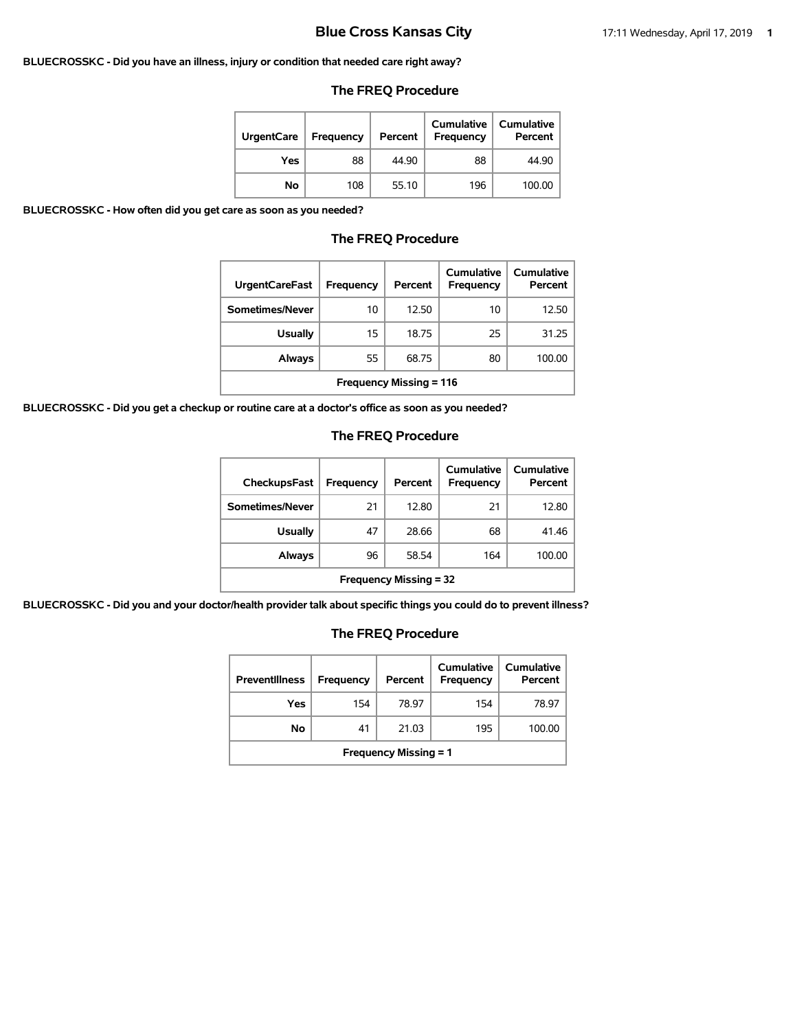#### **BLUECROSSKC - Did you have an illness, injury or condition that needed care right away?**

#### **The FREQ Procedure**

| <b>UrgentCare</b> | Frequency | Percent | Cumulative<br>Frequency | Cumulative<br>Percent |
|-------------------|-----------|---------|-------------------------|-----------------------|
| Yes               | 88        | 44.90   | 88                      | 44.90                 |
| Νo                | 108       | 55.10   | 196                     | 100.00                |

**BLUECROSSKC - How often did you get care as soon as you needed?**

### **The FREQ Procedure**

| <b>UrgentCareFast</b>          | <b>Frequency</b> | Percent | Cumulative<br><b>Frequency</b> | Cumulative<br>Percent |  |
|--------------------------------|------------------|---------|--------------------------------|-----------------------|--|
| Sometimes/Never                | 10               | 12.50   | 10                             | 12.50                 |  |
| <b>Usually</b>                 | 15               | 18.75   | 25                             | 31.25                 |  |
| Always                         | 55               | 68.75   | 80                             | 100.00                |  |
| <b>Frequency Missing = 116</b> |                  |         |                                |                       |  |

**BLUECROSSKC - Did you get a checkup or routine care at a doctor's office as soon as you needed?**

#### **The FREQ Procedure**

| <b>CheckupsFast</b>           | Frequency | Percent | Cumulative<br>Frequency | Cumulative<br>Percent |  |
|-------------------------------|-----------|---------|-------------------------|-----------------------|--|
| Sometimes/Never               | 21        | 12.80   | 21                      | 12.80                 |  |
| <b>Usually</b>                | 47        | 28.66   | 68                      | 41.46                 |  |
| Always                        | 96        | 58.54   | 164                     | 100.00                |  |
| <b>Frequency Missing = 32</b> |           |         |                         |                       |  |

**BLUECROSSKC - Did you and your doctor/health provider talk about specific things you could do to prevent illness?**

| <b>Preventillness</b>        | Frequency | Percent | Cumulative<br><b>Frequency</b> | Cumulative<br>Percent |  |
|------------------------------|-----------|---------|--------------------------------|-----------------------|--|
| Yes                          | 154       | 78.97   | 154                            | 78.97                 |  |
| No                           | 41        | 21.03   | 195                            | 100.00                |  |
| <b>Frequency Missing = 1</b> |           |         |                                |                       |  |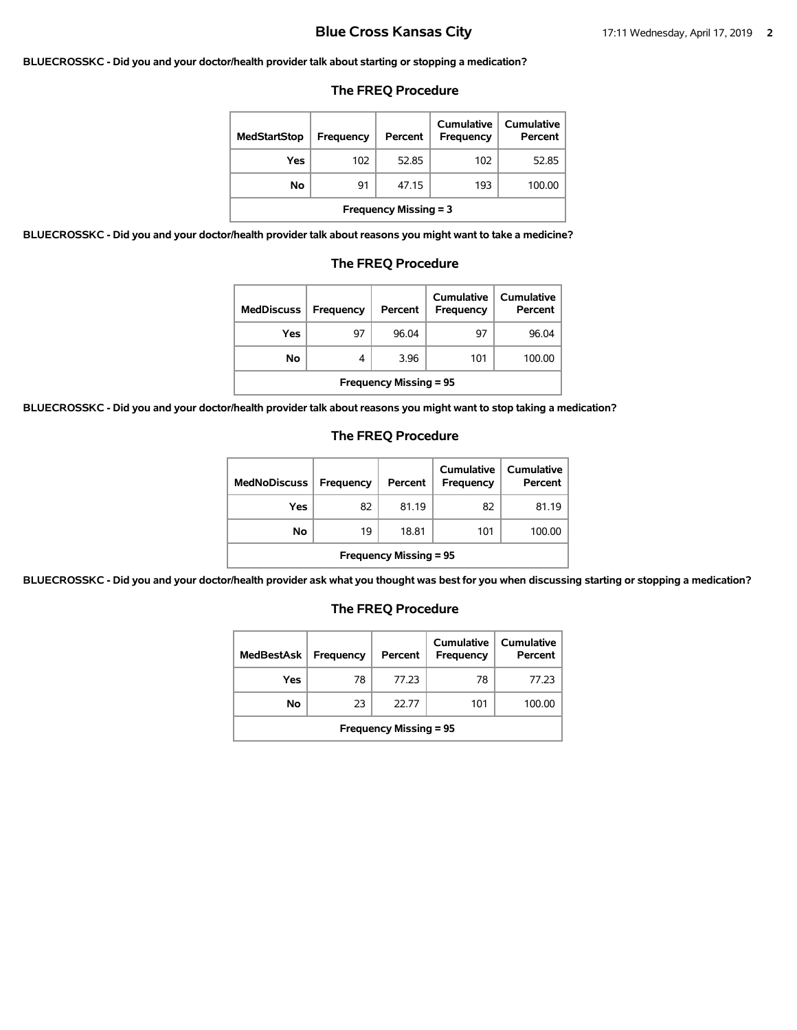#### **BLUECROSSKC - Did you and your doctor/health provider talk about starting or stopping a medication?**

#### **The FREQ Procedure**

| <b>MedStartStop</b>          | Frequency | Percent | Cumulative<br>Frequency | Cumulative<br>Percent |  |
|------------------------------|-----------|---------|-------------------------|-----------------------|--|
| Yes                          | 102       | 52.85   | 102                     | 52.85                 |  |
| No.                          | 91        | 47.15   | 193                     | 100.00                |  |
| <b>Frequency Missing = 3</b> |           |         |                         |                       |  |

**BLUECROSSKC - Did you and your doctor/health provider talk about reasons you might want to take a medicine?**

#### **The FREQ Procedure**

| <b>MedDiscuss</b>             | Frequency | Percent | Cumulative<br><b>Frequency</b> | <b>Cumulative</b><br>Percent |  |
|-------------------------------|-----------|---------|--------------------------------|------------------------------|--|
| Yes                           | 97        | 96.04   | 97                             | 96.04                        |  |
| Νo                            | 4         | 3.96    | 101                            | 100.00                       |  |
| <b>Frequency Missing = 95</b> |           |         |                                |                              |  |

**BLUECROSSKC - Did you and your doctor/health provider talk about reasons you might want to stop taking a medication?**

#### **The FREQ Procedure**

| <b>MedNoDiscuss</b>           | <b>Frequency</b> | Percent | <b>Cumulative</b><br>Frequency | <b>Cumulative</b><br>Percent |  |
|-------------------------------|------------------|---------|--------------------------------|------------------------------|--|
| Yes                           | 82               | 81.19   | 82                             | 81.19                        |  |
| No                            | 19               | 18.81   | 101                            | 100.00                       |  |
| <b>Frequency Missing = 95</b> |                  |         |                                |                              |  |

**BLUECROSSKC - Did you and your doctor/health provider ask what you thought was best for you when discussing starting or stopping a medication?**

| <b>MedBestAsk</b>             | Frequency | Percent | Cumulative<br>Frequency | Cumulative<br>Percent |  |
|-------------------------------|-----------|---------|-------------------------|-----------------------|--|
| Yes                           | 78        | 77.23   | 78                      | 77.23                 |  |
| No                            | 23        | 22.77   | 101                     | 100.00                |  |
| <b>Frequency Missing = 95</b> |           |         |                         |                       |  |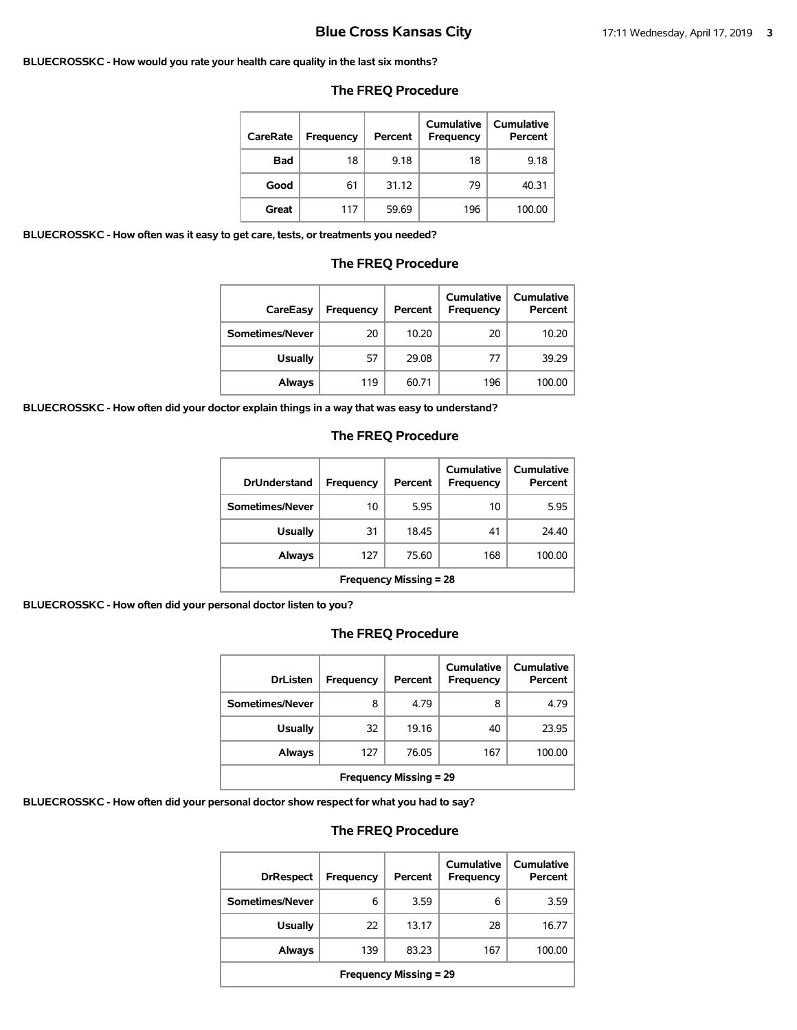#### **BLUECROSSKC - How would you rate your health care quality in the last six months?**

#### **The FREQ Procedure**

| CareRate   | Frequency | Percent | Cumulative<br>Frequency | <b>Cumulative</b><br>Percent |
|------------|-----------|---------|-------------------------|------------------------------|
| <b>Bad</b> | 18        | 9.18    | 18                      | 9.18                         |
| Good       | 61        | 31.12   | 79                      | 40.31                        |
| Great      | 117       | 59.69   | 196                     | 100.00                       |

**BLUECROSSKC - How often was it easy to get care, tests, or treatments you needed?**

#### **The FREQ Procedure**

| CareEasy        | Frequency | Percent | Cumulative<br><b>Frequency</b> | <b>Cumulative</b><br>Percent |
|-----------------|-----------|---------|--------------------------------|------------------------------|
| Sometimes/Never | 20        | 10.20   | 20                             | 10.20                        |
| <b>Usually</b>  | 57        | 29.08   | 77                             | 39.29                        |
| Always          | 119       | 60.71   | 196                            | 100.00                       |

**BLUECROSSKC - How often did your doctor explain things in a way that was easy to understand?**

### **The FREQ Procedure**

| <b>DrUnderstand</b>           | Frequency | Percent | Cumulative<br>Frequency | Cumulative<br>Percent |  |
|-------------------------------|-----------|---------|-------------------------|-----------------------|--|
| Sometimes/Never               | 10        | 5.95    | 10                      | 5.95                  |  |
| <b>Usually</b>                | 31        | 18.45   | 41                      | 24.40                 |  |
| Always                        | 127       | 75.60   | 168                     | 100.00                |  |
| <b>Frequency Missing = 28</b> |           |         |                         |                       |  |

**BLUECROSSKC - How often did your personal doctor listen to you?**

### **The FREQ Procedure**

| <b>DrListen</b>                         | Frequency | Percent | Cumulative<br><b>Frequency</b> | Cumulative<br>Percent |  |
|-----------------------------------------|-----------|---------|--------------------------------|-----------------------|--|
| Sometimes/Never                         | 8         | 4.79    | 8                              | 4.79                  |  |
| <b>Usually</b>                          | 32        | 19.16   | 40                             | 23.95                 |  |
| 76.05<br>167<br>100.00<br>Always<br>127 |           |         |                                |                       |  |
| <b>Frequency Missing = 29</b>           |           |         |                                |                       |  |

**BLUECROSSKC - How often did your personal doctor show respect for what you had to say?**

| <b>DrRespect</b>              | Frequency | Percent | Cumulative<br><b>Frequency</b> | Cumulative<br>Percent |  |
|-------------------------------|-----------|---------|--------------------------------|-----------------------|--|
| Sometimes/Never               | 6         | 3.59    | 6                              | 3.59                  |  |
| <b>Usually</b>                | 22        | 13.17   | 28                             | 16.77                 |  |
| Always                        | 139       | 83.23   | 167                            | 100.00                |  |
| <b>Frequency Missing = 29</b> |           |         |                                |                       |  |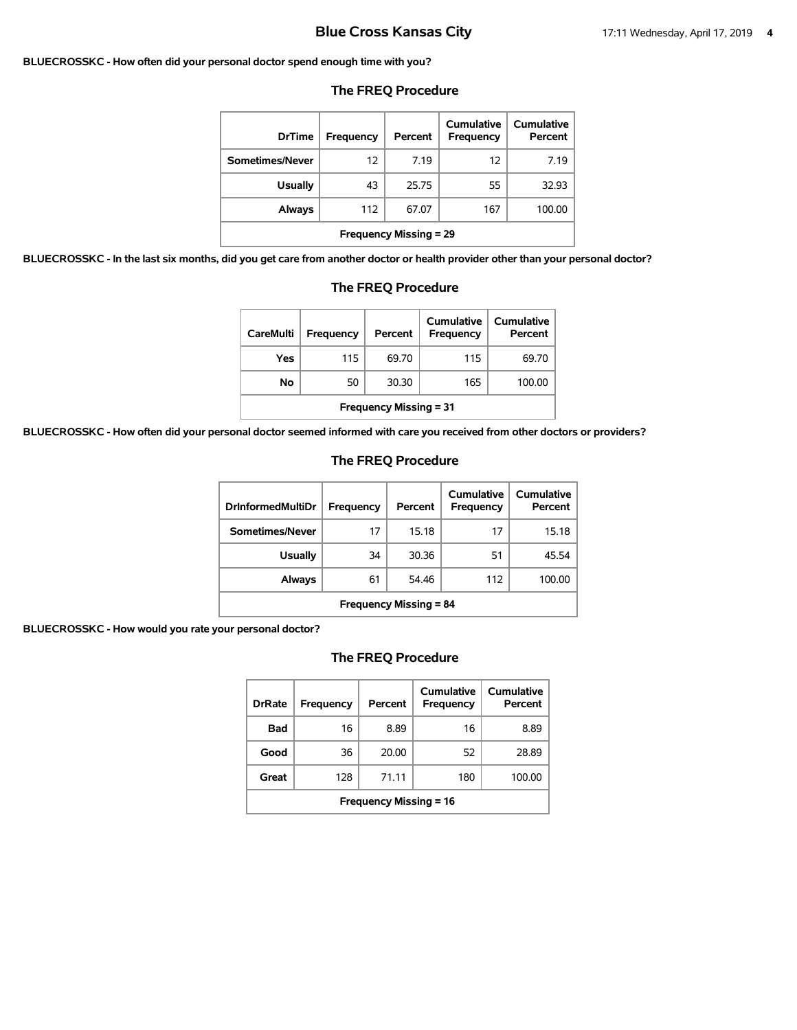#### **BLUECROSSKC - How often did your personal doctor spend enough time with you?**

| <b>DrTime</b>                 | Frequency | Percent | Cumulative<br>Frequency | <b>Cumulative</b><br>Percent |
|-------------------------------|-----------|---------|-------------------------|------------------------------|
| Sometimes/Never               | 12        | 7.19    | 12                      | 7.19                         |
| <b>Usually</b>                | 43        | 25.75   | 55                      | 32.93                        |
| Always                        | 112       | 67.07   | 167                     | 100.00                       |
| <b>Frequency Missing = 29</b> |           |         |                         |                              |

#### **The FREQ Procedure**

**BLUECROSSKC - In the last six months, did you get care from another doctor or health provider other than your personal doctor?**

| <b>The FREQ Procedure</b>     |                                                                                        |       |     |        |  |
|-------------------------------|----------------------------------------------------------------------------------------|-------|-----|--------|--|
| <b>CareMulti</b>              | Cumulative<br>Cumulative<br>Percent<br>Percent<br><b>Frequency</b><br><b>Frequency</b> |       |     |        |  |
| Yes                           | 115                                                                                    | 69.70 | 115 | 69.70  |  |
| No                            | 50                                                                                     | 30.30 | 165 | 100.00 |  |
| <b>Frequency Missing = 31</b> |                                                                                        |       |     |        |  |

**BLUECROSSKC - How often did your personal doctor seemed informed with care you received from other doctors or providers?**

#### **The FREQ Procedure**

| <b>DrinformedMultiDr</b>      | Frequency | Percent | Cumulative<br>Frequency | Cumulative<br>Percent |
|-------------------------------|-----------|---------|-------------------------|-----------------------|
| Sometimes/Never               | 17        | 15.18   | 17                      | 15.18                 |
| Usually                       | 34        | 30.36   | 51                      | 45.54                 |
| Always                        | 61        | 54.46   | 112                     | 100.00                |
| <b>Frequency Missing = 84</b> |           |         |                         |                       |

**BLUECROSSKC - How would you rate your personal doctor?**

| <b>DrRate</b>                 | Frequency | Percent | Cumulative<br>Frequency | Cumulative<br>Percent |  |
|-------------------------------|-----------|---------|-------------------------|-----------------------|--|
| Bad                           | 16        | 8.89    | 16                      | 8.89                  |  |
| Good                          | 36        | 20.00   | 52                      | 28.89                 |  |
| Great                         | 128       | 71.11   | 180                     | 100.00                |  |
| <b>Frequency Missing = 16</b> |           |         |                         |                       |  |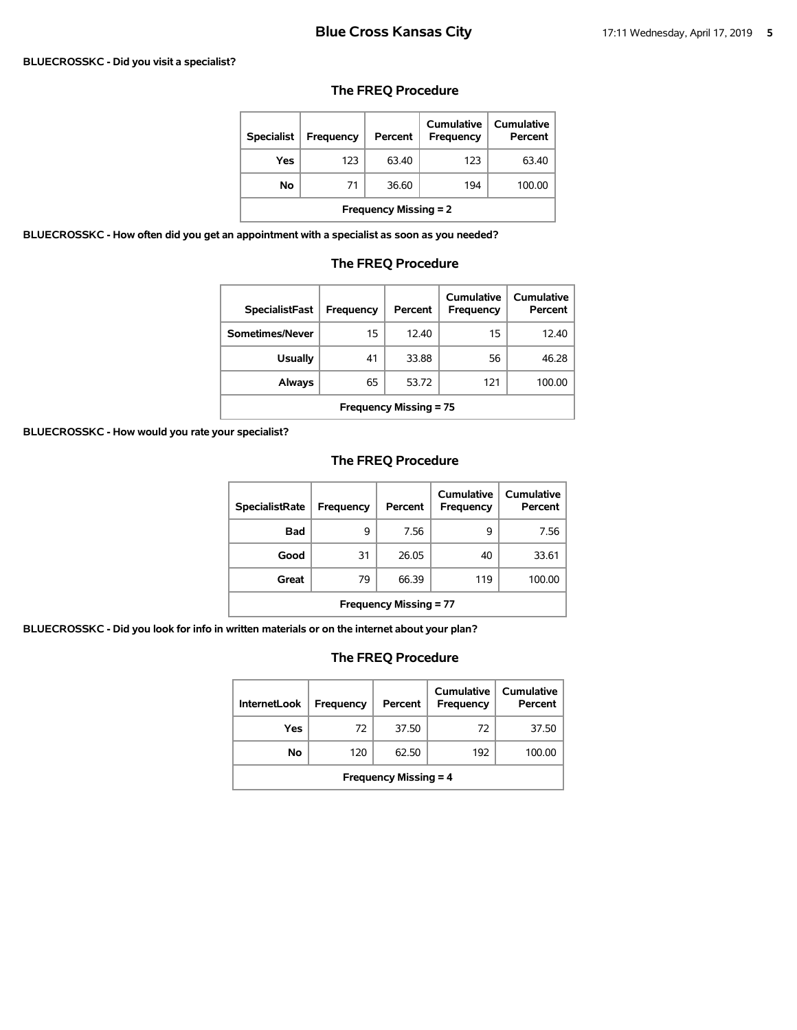#### **BLUECROSSKC - Did you visit a specialist?**

### **The FREQ Procedure**

| <b>Specialist</b>            | <b>Frequency</b> | Percent | Cumulative<br><b>Frequency</b> | Cumulative<br>Percent |  |
|------------------------------|------------------|---------|--------------------------------|-----------------------|--|
| Yes                          | 123              | 63.40   | 123                            | 63.40                 |  |
| No                           | 71               | 36.60   | 194                            | 100.00                |  |
| <b>Frequency Missing = 2</b> |                  |         |                                |                       |  |

**BLUECROSSKC - How often did you get an appointment with a specialist as soon as you needed?**

### **The FREQ Procedure**

| <b>SpecialistFast</b>         | Frequency | Percent | Cumulative<br>Frequency | Cumulative<br>Percent |  |
|-------------------------------|-----------|---------|-------------------------|-----------------------|--|
| Sometimes/Never               | 15        | 12.40   | 15                      | 12.40                 |  |
| <b>Usually</b>                | 41        | 33.88   | 56                      | 46.28                 |  |
| Always                        | 65        | 53.72   | 121                     | 100.00                |  |
| <b>Frequency Missing = 75</b> |           |         |                         |                       |  |

**BLUECROSSKC - How would you rate your specialist?**

### **The FREQ Procedure**

| <b>SpecialistRate</b>         | <b>Frequency</b> | Percent | Cumulative<br><b>Frequency</b> | Cumulative<br>Percent |  |
|-------------------------------|------------------|---------|--------------------------------|-----------------------|--|
| <b>Bad</b>                    | 9                | 7.56    | 9                              | 7.56                  |  |
| Good                          | 31               | 26.05   | 40                             | 33.61                 |  |
| Great                         | 79               | 66.39   | 119                            | 100.00                |  |
| <b>Frequency Missing = 77</b> |                  |         |                                |                       |  |

**BLUECROSSKC - Did you look for info in written materials or on the internet about your plan?**

| <b>InternetLook</b>          | Frequency | Percent | Cumulative<br>Frequency | Cumulative<br>Percent |  |
|------------------------------|-----------|---------|-------------------------|-----------------------|--|
| Yes                          | 72        | 37.50   | 72                      | 37.50                 |  |
| No                           | 120       | 62.50   | 192                     | 100.00                |  |
| <b>Frequency Missing = 4</b> |           |         |                         |                       |  |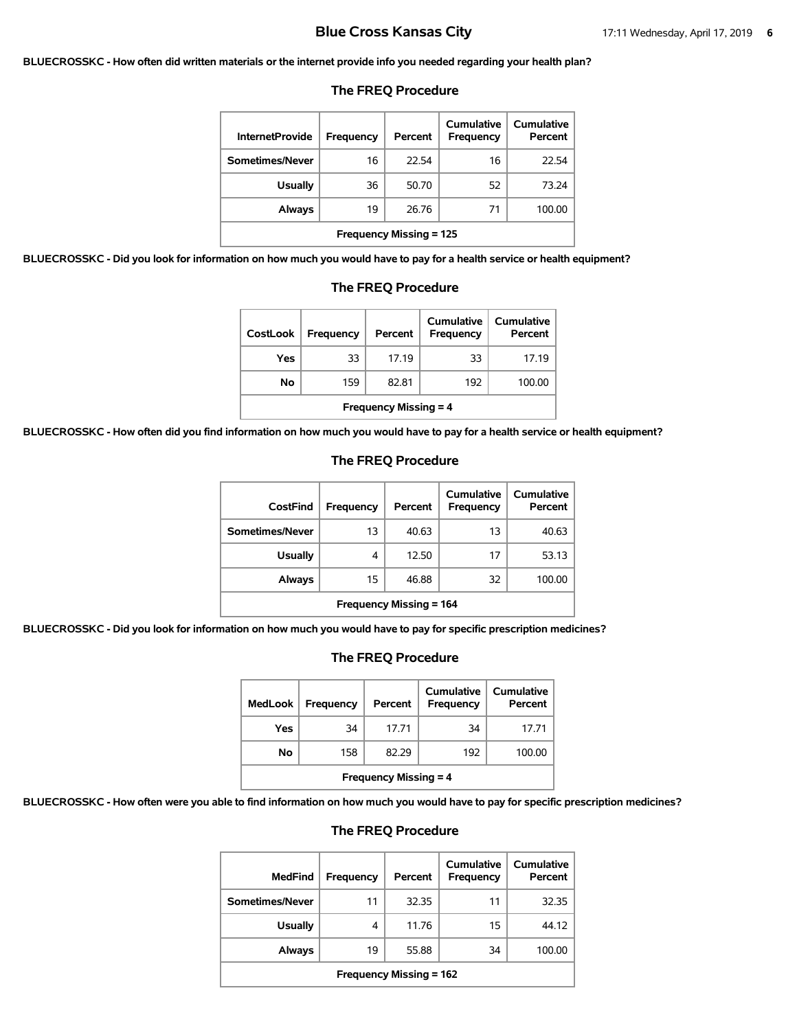**BLUECROSSKC - How often did written materials or the internet provide info you needed regarding your health plan?**

| <b>InternetProvide</b>         | Frequency | Percent | Cumulative<br>Frequency | Cumulative<br>Percent |
|--------------------------------|-----------|---------|-------------------------|-----------------------|
| Sometimes/Never                | 16        | 22.54   | 16                      | 22.54                 |
| Usually                        | 36        | 50.70   | 52                      | 73.24                 |
| Always                         | 19        | 26.76   | 71                      | 100.00                |
| <b>Frequency Missing = 125</b> |           |         |                         |                       |

#### **The FREQ Procedure**

**BLUECROSSKC - Did you look for information on how much you would have to pay for a health service or health equipment?**

| <b>The FREQ Procedure</b>                                                                          |     |       |     |        |  |
|----------------------------------------------------------------------------------------------------|-----|-------|-----|--------|--|
| Cumulative<br>Cumulative<br><b>CostLook</b><br>Percent<br>Percent<br>Frequency<br><b>Frequency</b> |     |       |     |        |  |
| Yes                                                                                                | 33  | 17.19 | 33  | 17.19  |  |
| No                                                                                                 | 159 | 82.81 | 192 | 100.00 |  |
| <b>Frequency Missing = 4</b>                                                                       |     |       |     |        |  |

**BLUECROSSKC - How often did you find information on how much you would have to pay for a health service or health equipment?**

| CostFind                       | Frequency | Percent | Cumulative<br>Frequency | Cumulative<br>Percent |
|--------------------------------|-----------|---------|-------------------------|-----------------------|
| Sometimes/Never                | 13        | 40.63   | 13                      | 40.63                 |
| <b>Usually</b>                 | 4         | 12.50   | 17                      | 53.13                 |
| <b>Always</b>                  | 15        | 46.88   | 32                      | 100.00                |
| <b>Frequency Missing = 164</b> |           |         |                         |                       |

#### **The FREQ Procedure**

**BLUECROSSKC - Did you look for information on how much you would have to pay for specific prescription medicines?**

### **The FREQ Procedure**

| <b>MedLook</b>               | <b>Frequency</b> | Percent | Cumulative<br>Frequency | Cumulative<br>Percent |  |
|------------------------------|------------------|---------|-------------------------|-----------------------|--|
| Yes                          | 34               | 17.71   | 34                      | 17.71                 |  |
| Νo                           | 158              | 82.29   | 192                     | 100.00                |  |
| <b>Frequency Missing = 4</b> |                  |         |                         |                       |  |

**BLUECROSSKC - How often were you able to find information on how much you would have to pay for specific prescription medicines?**

| <b>MedFind</b>          | Frequency | Percent | Cumulative<br>Frequency | Cumulative<br>Percent |  |
|-------------------------|-----------|---------|-------------------------|-----------------------|--|
| Sometimes/Never         | 11        | 32.35   | 11                      | 32.35                 |  |
| <b>Usually</b>          | 4         | 11.76   | 15                      | 44.12                 |  |
| Always                  | 19        | 55.88   | 34                      | 100.00                |  |
| Frequency Missing = 162 |           |         |                         |                       |  |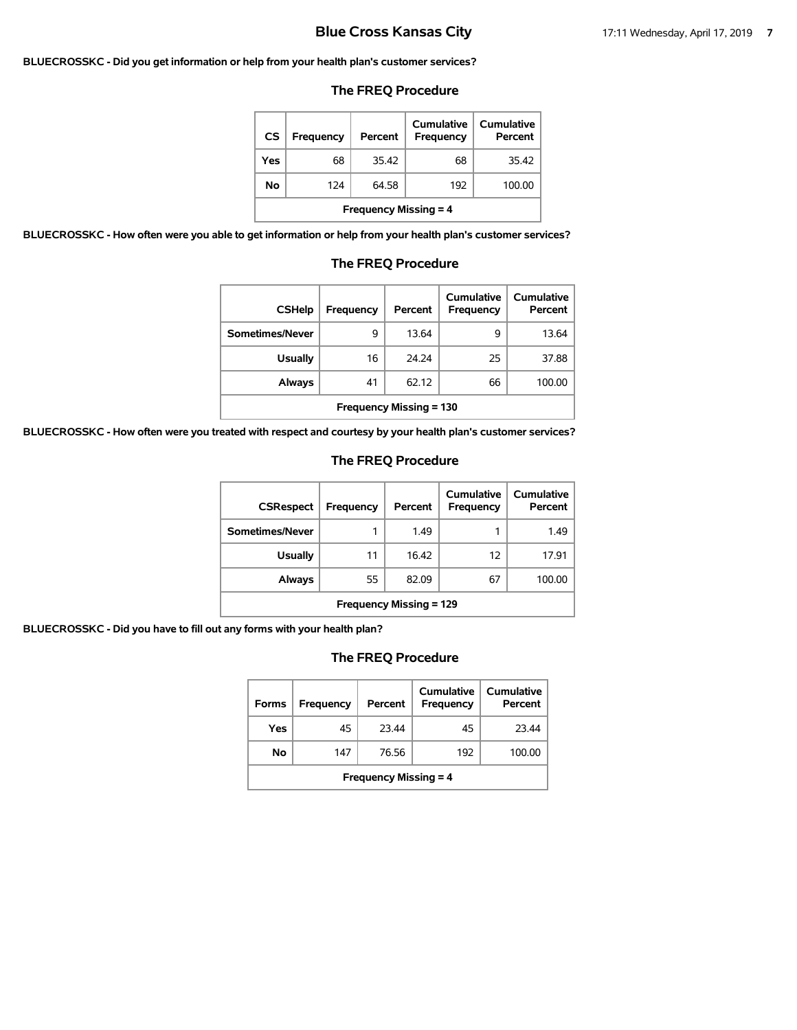#### **BLUECROSSKC - Did you get information or help from your health plan's customer services?**

#### **The FREQ Procedure**

| <b>CS</b>                    | <b>Frequency</b> | Percent | Cumulative<br><b>Frequency</b> | <b>Cumulative</b><br>Percent |  |
|------------------------------|------------------|---------|--------------------------------|------------------------------|--|
| Yes                          | 68               | 35.42   | 68                             | 35.42                        |  |
| No                           | 124              | 64.58   | 192                            | 100.00                       |  |
| <b>Frequency Missing = 4</b> |                  |         |                                |                              |  |

**BLUECROSSKC - How often were you able to get information or help from your health plan's customer services?**

# **The FREQ Procedure**

| <b>CSHelp</b>                  | Frequency | Percent | Cumulative<br><b>Frequency</b> | Cumulative<br>Percent |  |
|--------------------------------|-----------|---------|--------------------------------|-----------------------|--|
| Sometimes/Never                | 9         | 13.64   | 9                              | 13.64                 |  |
| <b>Usually</b>                 | 16        | 24.24   | 25                             | 37.88                 |  |
| Always                         | 41        | 62.12   | 66                             | 100.00                |  |
| <b>Frequency Missing = 130</b> |           |         |                                |                       |  |

**BLUECROSSKC - How often were you treated with respect and courtesy by your health plan's customer services?**

#### **The FREQ Procedure**

| <b>CSRespect</b>               | Frequency | Percent | Cumulative<br>Frequency | Cumulative<br>Percent |  |
|--------------------------------|-----------|---------|-------------------------|-----------------------|--|
| Sometimes/Never                | 1         | 1.49    |                         | 1.49                  |  |
| <b>Usually</b>                 | 11        | 16.42   | 12                      | 17.91                 |  |
| Always                         | 55        | 82.09   | 67                      | 100.00                |  |
| <b>Frequency Missing = 129</b> |           |         |                         |                       |  |

**BLUECROSSKC - Did you have to fill out any forms with your health plan?**

| <b>Forms</b>                 | Frequency | Percent | Cumulative<br><b>Frequency</b> | Cumulative<br>Percent |  |
|------------------------------|-----------|---------|--------------------------------|-----------------------|--|
| Yes                          | 45        | 23.44   | 45                             | 23.44                 |  |
| No                           | 147       | 76.56   | 192                            | 100.00                |  |
| <b>Frequency Missing = 4</b> |           |         |                                |                       |  |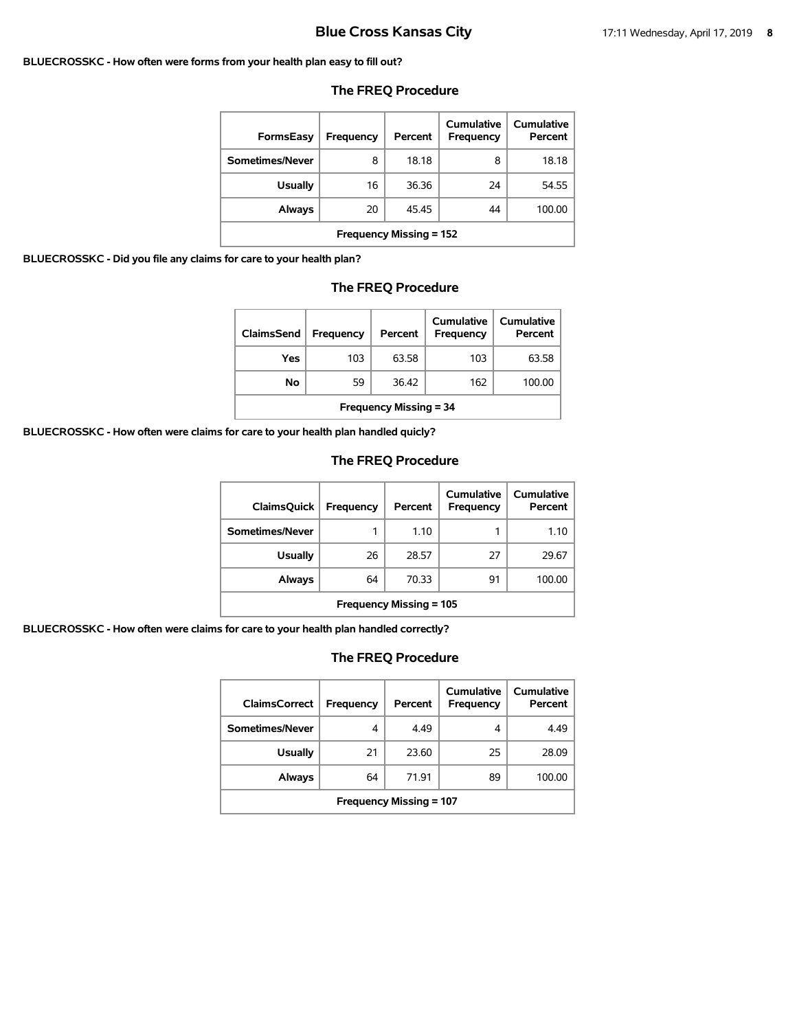#### **BLUECROSSKC - How often were forms from your health plan easy to fill out?**

| FormsEasy                      | Frequency | Percent | Cumulative<br>Frequency | Cumulative<br>Percent |  |
|--------------------------------|-----------|---------|-------------------------|-----------------------|--|
| Sometimes/Never                | 8         | 18.18   | 8                       | 18.18                 |  |
| <b>Usually</b>                 | 16        | 36.36   | 24                      | 54.55                 |  |
| Always                         | 20        | 45.45   | 44                      | 100.00                |  |
| <b>Frequency Missing = 152</b> |           |         |                         |                       |  |

#### **The FREQ Procedure**

**BLUECROSSKC - Did you file any claims for care to your health plan?**

#### **The FREQ Procedure**

| ClaimsSend                    | <b>Frequency</b> | Percent | <b>Cumulative</b><br>Frequency | Cumulative<br>Percent |  |
|-------------------------------|------------------|---------|--------------------------------|-----------------------|--|
| Yes                           | 103              | 63.58   | 103                            | 63.58                 |  |
| No                            | 59               | 36.42   | 162                            | 100.00                |  |
| <b>Frequency Missing = 34</b> |                  |         |                                |                       |  |

**BLUECROSSKC - How often were claims for care to your health plan handled quicly?**

#### **The FREQ Procedure**

| <b>ClaimsQuick</b>             | Frequency | Percent | Cumulative<br>Frequency | Cumulative<br>Percent |  |
|--------------------------------|-----------|---------|-------------------------|-----------------------|--|
| Sometimes/Never                | 1         | 1.10    |                         | 1.10                  |  |
| <b>Usually</b>                 | 26        | 28.57   | 27                      | 29.67                 |  |
| Always                         | 64        | 70.33   | 91                      | 100.00                |  |
| <b>Frequency Missing = 105</b> |           |         |                         |                       |  |

**BLUECROSSKC - How often were claims for care to your health plan handled correctly?**

| <b>ClaimsCorrect</b>           | <b>Frequency</b> | Percent | Cumulative<br>Frequency | <b>Cumulative</b><br>Percent |  |
|--------------------------------|------------------|---------|-------------------------|------------------------------|--|
| Sometimes/Never                | 4                | 4.49    | 4                       | 4.49                         |  |
| <b>Usually</b>                 | 21               | 23.60   | 25                      | 28.09                        |  |
| <b>Always</b>                  | 64               | 71.91   | 89                      | 100.00                       |  |
| <b>Frequency Missing = 107</b> |                  |         |                         |                              |  |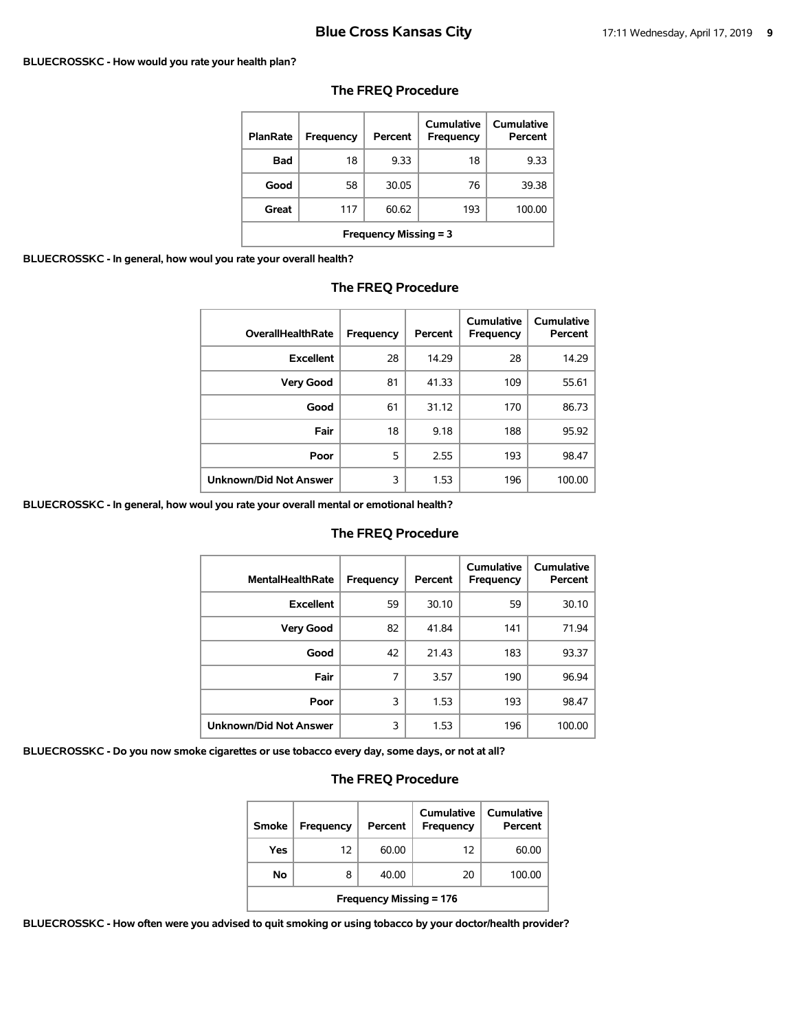#### **BLUECROSSKC - How would you rate your health plan?**

| <b>PlanRate</b>              | <b>Frequency</b> | Percent | Cumulative<br>Frequency | <b>Cumulative</b><br>Percent |  |
|------------------------------|------------------|---------|-------------------------|------------------------------|--|
| <b>Bad</b>                   | 18               | 9.33    | 18                      | 9.33                         |  |
| Good                         | 58               | 30.05   | 76                      | 39.38                        |  |
| Great                        | 117              | 60.62   | 193                     | 100.00                       |  |
| <b>Frequency Missing = 3</b> |                  |         |                         |                              |  |

#### **The FREQ Procedure**

**BLUECROSSKC - In general, how woul you rate your overall health?**

| <b>OverallHealthRate</b> | Frequency | Percent | Cumulative<br>Frequency | Cumulative<br>Percent |
|--------------------------|-----------|---------|-------------------------|-----------------------|
| <b>Excellent</b>         | 28        | 14.29   | 28                      | 14.29                 |
| <b>Very Good</b>         | 81        | 41.33   | 109                     | 55.61                 |
| Good                     | 61        | 31.12   | 170                     | 86.73                 |
| Fair                     | 18        | 9.18    | 188                     | 95.92                 |
| Poor                     | 5         | 2.55    | 193                     | 98.47                 |
| Unknown/Did Not Answer   | 3         | 1.53    | 196                     | 100.00                |

#### **The FREQ Procedure**

**BLUECROSSKC - In general, how woul you rate your overall mental or emotional health?**

#### **The FREQ Procedure**

| <b>MentalHealthRate</b>       | <b>Frequency</b> | Percent | Cumulative<br>Frequency | Cumulative<br>Percent |
|-------------------------------|------------------|---------|-------------------------|-----------------------|
| <b>Excellent</b>              | 59               | 30.10   | 59                      | 30.10                 |
| <b>Very Good</b>              | 82               | 41.84   | 141                     | 71.94                 |
| Good                          | 42               | 21.43   | 183                     | 93.37                 |
| Fair                          | 7                | 3.57    | 190                     | 96.94                 |
| Poor                          | 3                | 1.53    | 193                     | 98.47                 |
| <b>Unknown/Did Not Answer</b> | 3                | 1.53    | 196                     | 100.00                |

**BLUECROSSKC - Do you now smoke cigarettes or use tobacco every day, some days, or not at all?**

### **The FREQ Procedure**

| Smoke                          | <b>Frequency</b> | Percent | Cumulative<br>Frequency | Cumulative<br>Percent |  |
|--------------------------------|------------------|---------|-------------------------|-----------------------|--|
| Yes                            | 12               | 60.00   | 12                      | 60.00                 |  |
| No                             | 8                | 40.00   | 20                      | 100.00                |  |
| <b>Frequency Missing = 176</b> |                  |         |                         |                       |  |

**BLUECROSSKC - How often were you advised to quit smoking or using tobacco by your doctor/health provider?**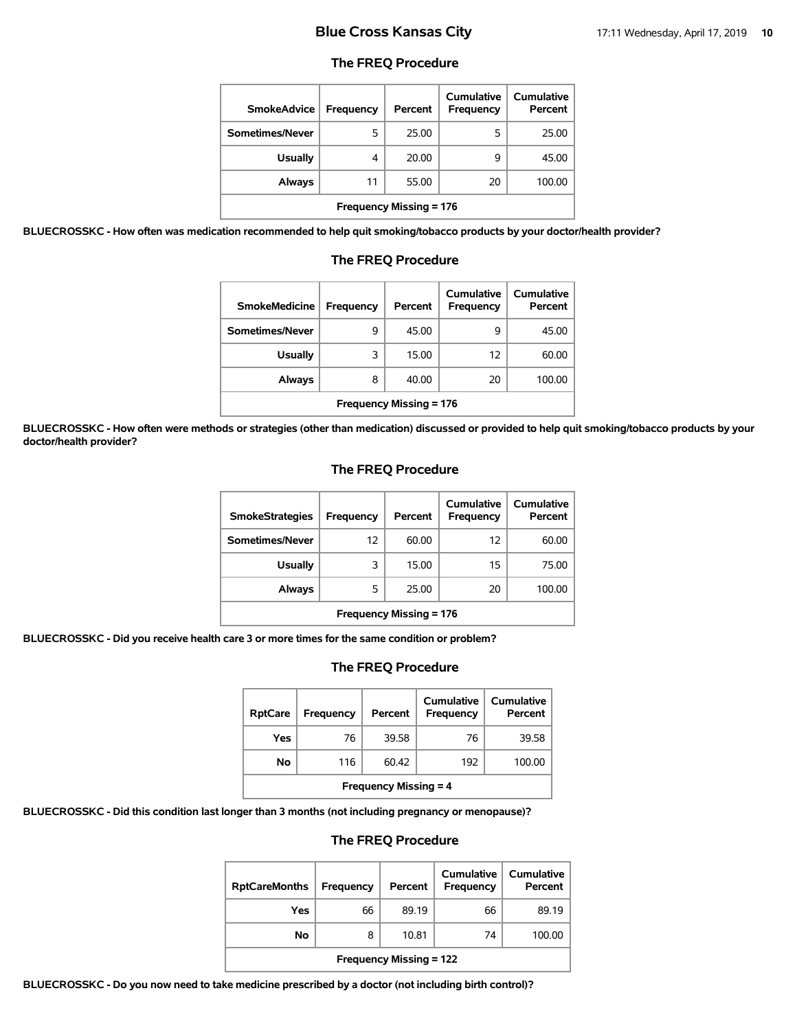#### **The FREQ Procedure**

| <b>SmokeAdvice</b>             | <b>Frequency</b> | Percent | <b>Cumulative</b><br><b>Frequency</b> | <b>Cumulative</b><br>Percent |  |
|--------------------------------|------------------|---------|---------------------------------------|------------------------------|--|
| Sometimes/Never                | 5                | 25.00   | 5                                     | 25.00                        |  |
| <b>Usually</b>                 | 4                | 20.00   | 9                                     | 45.00                        |  |
| <b>Always</b>                  | 11               | 55.00   | 20                                    | 100.00                       |  |
| <b>Frequency Missing = 176</b> |                  |         |                                       |                              |  |

**BLUECROSSKC - How often was medication recommended to help quit smoking/tobacco products by your doctor/health provider?**

| <b>SmokeMedicine</b>           | Frequency | Percent | Cumulative<br>Frequency | Cumulative<br>Percent |  |
|--------------------------------|-----------|---------|-------------------------|-----------------------|--|
| Sometimes/Never                | 9         | 45.00   | 9                       | 45.00                 |  |
| <b>Usually</b>                 | 3         | 15.00   | 12                      | 60.00                 |  |
| Always                         | 8         | 40.00   | 20                      | 100.00                |  |
| <b>Frequency Missing = 176</b> |           |         |                         |                       |  |

### **The FREQ Procedure**

**BLUECROSSKC - How often were methods or strategies (other than medication) discussed or provided to help quit smoking/tobacco products by your doctor/health provider?**

#### **The FREQ Procedure**

| <b>SmokeStrategies</b>         | Frequency | Percent | Cumulative<br>Frequency | <b>Cumulative</b><br>Percent |  |
|--------------------------------|-----------|---------|-------------------------|------------------------------|--|
| Sometimes/Never                | 12        | 60.00   | 12                      | 60.00                        |  |
| Usually                        | 3         | 15.00   | 15                      | 75.00                        |  |
| Always                         | 5         | 25.00   | 20                      | 100.00                       |  |
| <b>Frequency Missing = 176</b> |           |         |                         |                              |  |

**BLUECROSSKC - Did you receive health care 3 or more times for the same condition or problem?**

#### **The FREQ Procedure**

| <b>RptCare</b>               | Frequency | Percent | Cumulative<br>Frequency | Cumulative<br>Percent |  |
|------------------------------|-----------|---------|-------------------------|-----------------------|--|
| Yes                          | 76        | 39.58   | 76                      | 39.58                 |  |
| No                           | 116       | 60.42   | 192                     | 100.00                |  |
| <b>Frequency Missing = 4</b> |           |         |                         |                       |  |

**BLUECROSSKC - Did this condition last longer than 3 months (not including pregnancy or menopause)?**

#### **The FREQ Procedure**

| <b>RptCareMonths</b>           | Frequency | Percent | Cumulative<br>Frequency | <b>Cumulative</b><br>Percent |
|--------------------------------|-----------|---------|-------------------------|------------------------------|
| Yes                            | 66        | 89.19   | 66                      | 89.19                        |
| No                             | 8         | 10.81   | 74                      | 100.00                       |
| <b>Frequency Missing = 122</b> |           |         |                         |                              |

**BLUECROSSKC - Do you now need to take medicine prescribed by a doctor (not including birth control)?**